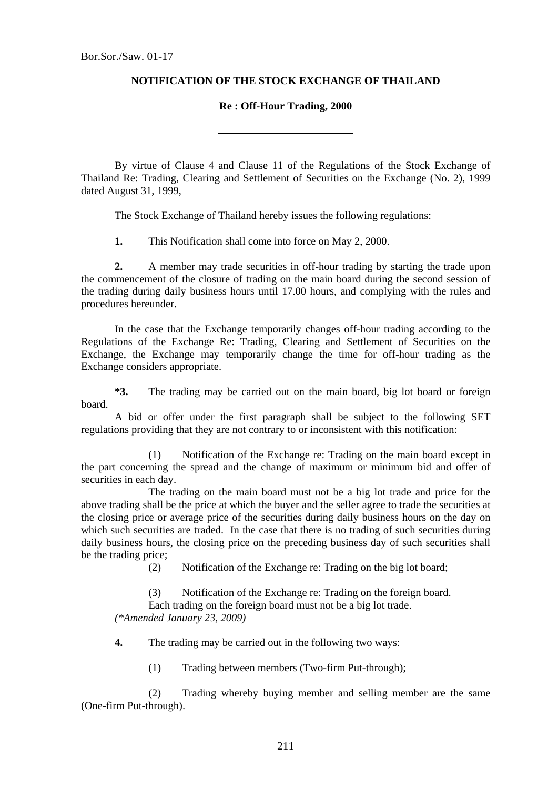## **NOTIFICATION OF THE STOCK EXCHANGE OF THAILAND**

## **Re : Off-Hour Trading, 2000**

 By virtue of Clause 4 and Clause 11 of the Regulations of the Stock Exchange of Thailand Re: Trading, Clearing and Settlement of Securities on the Exchange (No. 2), 1999 dated August 31, 1999,

The Stock Exchange of Thailand hereby issues the following regulations:

 **1.** This Notification shall come into force on May 2, 2000.

**2.** A member may trade securities in off-hour trading by starting the trade upon the commencement of the closure of trading on the main board during the second session of the trading during daily business hours until 17.00 hours, and complying with the rules and procedures hereunder.

 In the case that the Exchange temporarily changes off-hour trading according to the Regulations of the Exchange Re: Trading, Clearing and Settlement of Securities on the Exchange, the Exchange may temporarily change the time for off-hour trading as the Exchange considers appropriate.

 **\*3.** The trading may be carried out on the main board, big lot board or foreign board.

 A bid or offer under the first paragraph shall be subject to the following SET regulations providing that they are not contrary to or inconsistent with this notification:

 (1) Notification of the Exchange re: Trading on the main board except in the part concerning the spread and the change of maximum or minimum bid and offer of securities in each day.

 The trading on the main board must not be a big lot trade and price for the above trading shall be the price at which the buyer and the seller agree to trade the securities at the closing price or average price of the securities during daily business hours on the day on which such securities are traded. In the case that there is no trading of such securities during daily business hours, the closing price on the preceding business day of such securities shall be the trading price;

(2) Notification of the Exchange re: Trading on the big lot board;

 (3) Notification of the Exchange re: Trading on the foreign board. Each trading on the foreign board must not be a big lot trade. *(\*Amended January 23, 2009)* 

**4.** The trading may be carried out in the following two ways:

(1) Trading between members (Two-firm Put-through);

 (2) Trading whereby buying member and selling member are the same (One-firm Put-through).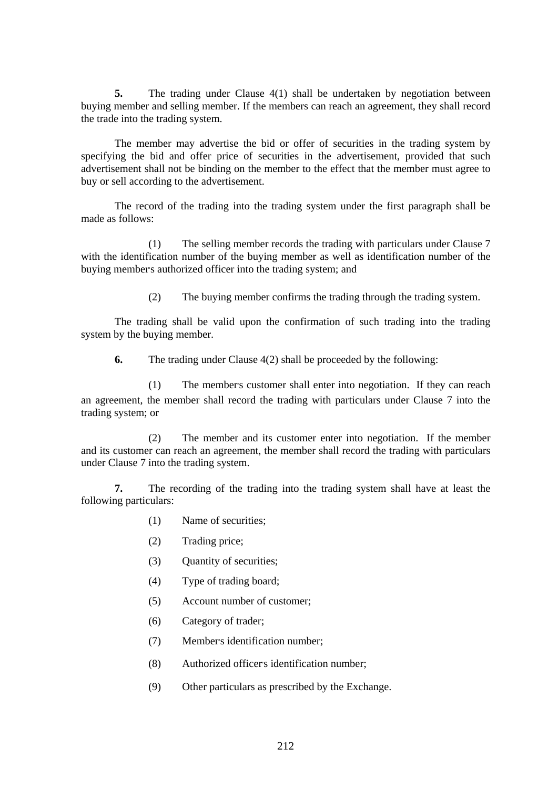**5.** The trading under Clause 4(1) shall be undertaken by negotiation between buying member and selling member. If the members can reach an agreement, they shall record the trade into the trading system.

 The member may advertise the bid or offer of securities in the trading system by specifying the bid and offer price of securities in the advertisement, provided that such advertisement shall not be binding on the member to the effect that the member must agree to buy or sell according to the advertisement.

 The record of the trading into the trading system under the first paragraph shall be made as follows:

 (1) The selling member records the trading with particulars under Clause 7 with the identification number of the buying member as well as identification number of the buying member's authorized officer into the trading system; and

(2) The buying member confirms the trading through the trading system.

 The trading shall be valid upon the confirmation of such trading into the trading system by the buying member.

**6.** The trading under Clause 4(2) shall be proceeded by the following:

 (1) The member's customer shall enter into negotiation. If they can reach an agreement, the member shall record the trading with particulars under Clause 7 into the trading system; or

 (2) The member and its customer enter into negotiation. If the member and its customer can reach an agreement, the member shall record the trading with particulars under Clause 7 into the trading system.

 **7.** The recording of the trading into the trading system shall have at least the following particulars:

- (1) Name of securities;
- (2) Trading price;
- (3) Quantity of securities;
- (4) Type of trading board;
- (5) Account number of customer;
- (6) Category of trader;
- (7) Member's identification number;
- (8) Authorized officer's identification number;
- (9) Other particulars as prescribed by the Exchange.